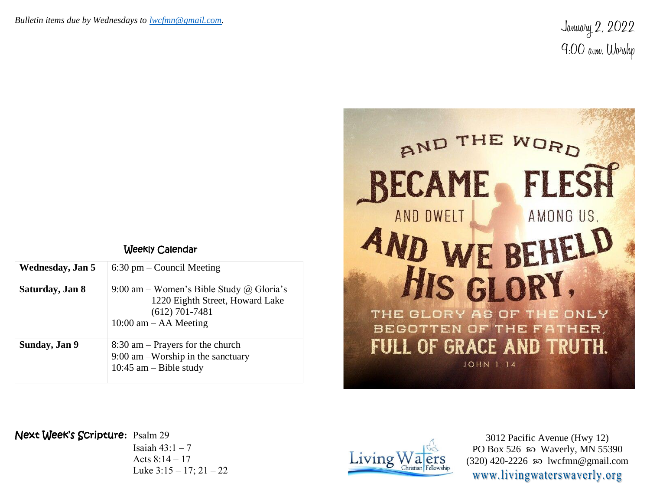January 2, 2022 9:00 a.m. Worshp



## Weekly Calendar

| Wednesday, Jan 5 | $6:30$ pm – Council Meeting                                                                                                  |
|------------------|------------------------------------------------------------------------------------------------------------------------------|
| Saturday, Jan 8  | 9:00 am – Women's Bible Study @ Gloria's<br>1220 Eighth Street, Howard Lake<br>$(612)$ 701-7481<br>$10:00$ am $-$ AA Meeting |
| Sunday, Jan 9    | $8:30$ am – Prayers for the church<br>$9:00$ am $-Worship$ in the sanctuary<br>10:45 am $-$ Bible study                      |

## Next Week's Scripture**:** Psalm 29

Isaiah  $43:1-7$ Acts 8:14 – 17 Luke  $3:15 - 17$ ;  $21 - 22$ 



3012 Pacific Avenue (Hwy 12) PO Box 526  $\infty$  Waverly, MN 55390  $(320)$  420-2226 so lwcfmn@gmail.com www.livingwaterswaverly.org